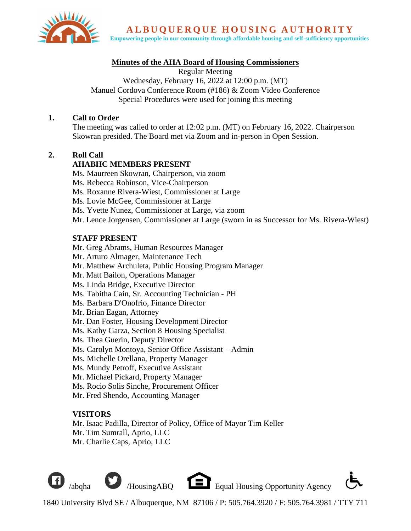

ALBUOUEROUE HOUSING AUTHORITY

**Empowering people in our community through affordable housing and self-sufficiency opportunities**

## **Minutes of the AHA Board of Housing Commissioners**

Regular Meeting Wednesday, February 16, 2022 at 12:00 p.m. (MT) Manuel Cordova Conference Room (#186) & Zoom Video Conference Special Procedures were used for joining this meeting

#### **1. Call to Order**

The meeting was called to order at 12:02 p.m. (MT) on February 16, 2022. Chairperson Skowran presided. The Board met via Zoom and in-person in Open Session.

## **2. Roll Call**

## **AHABHC MEMBERS PRESENT**

Ms. Maurreen Skowran, Chairperson, via zoom

Ms. Rebecca Robinson, Vice-Chairperson

Ms. Roxanne Rivera-Wiest, Commissioner at Large

Ms. Lovie McGee, Commissioner at Large

Ms. Yvette Nunez, Commissioner at Large, via zoom

Mr. Lence Jorgensen, Commissioner at Large (sworn in as Successor for Ms. Rivera-Wiest)

## **STAFF PRESENT**

Mr. Greg Abrams, Human Resources Manager

Mr. Arturo Almager, Maintenance Tech

Mr. Matthew Archuleta, Public Housing Program Manager

- Mr. Matt Bailon, Operations Manager
- Ms. Linda Bridge, Executive Director
- Ms. Tabitha Cain, Sr. Accounting Technician PH
- Ms. Barbara D'Onofrio, Finance Director
- Mr. Brian Eagan, Attorney
- Mr. Dan Foster, Housing Development Director
- Ms. Kathy Garza, Section 8 Housing Specialist
- Ms. Thea Guerin, Deputy Director
- Ms. Carolyn Montoya, Senior Office Assistant Admin
- Ms. Michelle Orellana, Property Manager
- Ms. Mundy Petroff, Executive Assistant
- Mr. Michael Pickard, Property Manager
- Ms. Rocio Solis Sinche, Procurement Officer

Mr. Fred Shendo, Accounting Manager

# **VISITORS**

Mr. Isaac Padilla, Director of Policy, Office of Mayor Tim Keller Mr. Tim Sumrall, Aprio, LLC Mr. Charlie Caps, Aprio, LLC

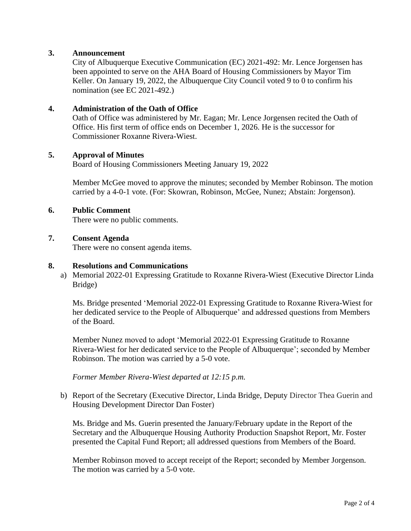## **3. Announcement**

City of Albuquerque Executive Communication (EC) 2021-492: Mr. Lence Jorgensen has been appointed to serve on the AHA Board of Housing Commissioners by Mayor Tim Keller. On January 19, 2022, the Albuquerque City Council voted 9 to 0 to confirm his nomination (see EC 2021-492.)

#### **4. Administration of the Oath of Office**

Oath of Office was administered by Mr. Eagan; Mr. Lence Jorgensen recited the Oath of Office. His first term of office ends on December 1, 2026. He is the successor for Commissioner Roxanne Rivera-Wiest.

## **5. Approval of Minutes**

Board of Housing Commissioners Meeting January 19, 2022

Member McGee moved to approve the minutes; seconded by Member Robinson. The motion carried by a 4-0-1 vote. (For: Skowran, Robinson, McGee, Nunez; Abstain: Jorgenson).

#### **6. Public Comment**

There were no public comments.

#### **7. Consent Agenda**

There were no consent agenda items.

#### **8. Resolutions and Communications**

a) Memorial 2022-01 Expressing Gratitude to Roxanne Rivera-Wiest (Executive Director Linda Bridge)

Ms. Bridge presented 'Memorial 2022-01 Expressing Gratitude to Roxanne Rivera-Wiest for her dedicated service to the People of Albuquerque' and addressed questions from Members of the Board.

Member Nunez moved to adopt 'Memorial 2022-01 Expressing Gratitude to Roxanne Rivera-Wiest for her dedicated service to the People of Albuquerque'; seconded by Member Robinson. The motion was carried by a 5-0 vote.

*Former Member Rivera-Wiest departed at 12:15 p.m.*

b) Report of the Secretary (Executive Director, Linda Bridge, Deputy Director Thea Guerin and Housing Development Director Dan Foster)

Ms. Bridge and Ms. Guerin presented the January/February update in the Report of the Secretary and the Albuquerque Housing Authority Production Snapshot Report, Mr. Foster presented the Capital Fund Report; all addressed questions from Members of the Board.

Member Robinson moved to accept receipt of the Report; seconded by Member Jorgenson. The motion was carried by a 5-0 vote.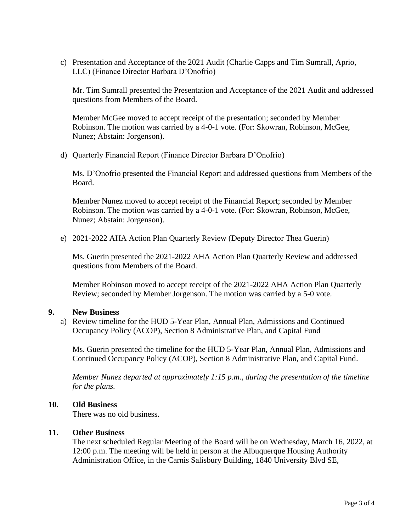c) Presentation and Acceptance of the 2021 Audit (Charlie Capps and Tim Sumrall, Aprio, LLC) (Finance Director Barbara D'Onofrio)

Mr. Tim Sumrall presented the Presentation and Acceptance of the 2021 Audit and addressed questions from Members of the Board.

Member McGee moved to accept receipt of the presentation; seconded by Member Robinson. The motion was carried by a 4-0-1 vote. (For: Skowran, Robinson, McGee, Nunez; Abstain: Jorgenson).

d) Quarterly Financial Report (Finance Director Barbara D'Onofrio)

Ms. D'Onofrio presented the Financial Report and addressed questions from Members of the Board.

Member Nunez moved to accept receipt of the Financial Report; seconded by Member Robinson. The motion was carried by a 4-0-1 vote. (For: Skowran, Robinson, McGee, Nunez; Abstain: Jorgenson).

e) 2021-2022 AHA Action Plan Quarterly Review (Deputy Director Thea Guerin)

Ms. Guerin presented the 2021-2022 AHA Action Plan Quarterly Review and addressed questions from Members of the Board.

Member Robinson moved to accept receipt of the 2021-2022 AHA Action Plan Quarterly Review; seconded by Member Jorgenson. The motion was carried by a 5-0 vote.

#### **9. New Business**

a) Review timeline for the HUD 5-Year Plan, Annual Plan, Admissions and Continued Occupancy Policy (ACOP), Section 8 Administrative Plan, and Capital Fund

Ms. Guerin presented the timeline for the HUD 5-Year Plan, Annual Plan, Admissions and Continued Occupancy Policy (ACOP), Section 8 Administrative Plan, and Capital Fund.

*Member Nunez departed at approximately 1:15 p.m., during the presentation of the timeline for the plans.* 

#### **10. Old Business**

There was no old business.

#### **11. Other Business**

The next scheduled Regular Meeting of the Board will be on Wednesday, March 16, 2022, at 12:00 p.m. The meeting will be held in person at the Albuquerque Housing Authority Administration Office, in the Carnis Salisbury Building, 1840 University Blvd SE,